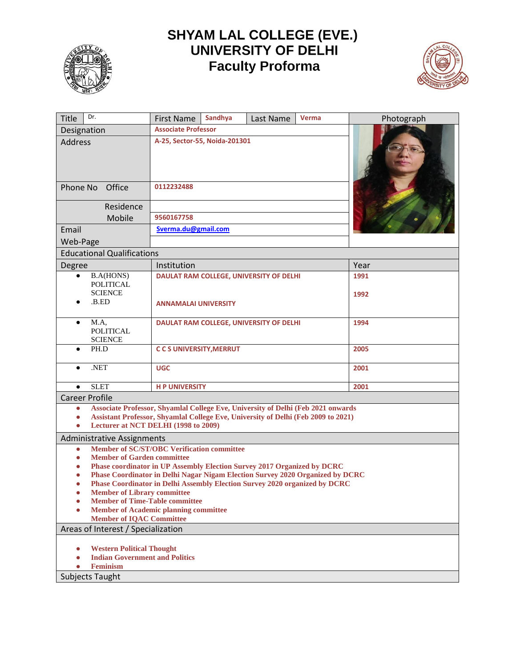

## **SHYAM LAL COLLEGE (EVE.)**<br>UNIVERSITY OF DELHI **Faculty Proforma**



| Dr.<br><b>Title</b>                                                                            | Sandhya<br><b>First Name</b>                                                                        | Last Name | Verma | Photograph |  |
|------------------------------------------------------------------------------------------------|-----------------------------------------------------------------------------------------------------|-----------|-------|------------|--|
| Designation                                                                                    | <b>Associate Professor</b><br>A-25, Sector-55, Noida-201301                                         |           |       |            |  |
| <b>Address</b>                                                                                 |                                                                                                     |           |       |            |  |
| Office<br>Phone No                                                                             | 0112232488                                                                                          |           |       |            |  |
| Residence                                                                                      |                                                                                                     |           |       |            |  |
| Mobile                                                                                         | 9560167758                                                                                          |           |       |            |  |
| Email                                                                                          | Sverma.du@gmail.com                                                                                 |           |       |            |  |
| Web-Page                                                                                       |                                                                                                     |           |       |            |  |
| <b>Educational Qualifications</b>                                                              |                                                                                                     |           |       |            |  |
|                                                                                                | Institution                                                                                         |           |       | Year       |  |
| Degree<br><b>B.A(HONS)</b><br>$\bullet$                                                        | <b>DAULAT RAM COLLEGE, UNIVERSITY OF DELHI</b>                                                      |           |       | 1991       |  |
| POLITICAL                                                                                      |                                                                                                     |           |       |            |  |
| <b>SCIENCE</b>                                                                                 |                                                                                                     |           |       | 1992       |  |
| .B.ED                                                                                          | <b>ANNAMALAI UNIVERSITY</b>                                                                         |           |       |            |  |
|                                                                                                |                                                                                                     |           |       |            |  |
| M.A.<br><b>POLITICAL</b>                                                                       | DAULAT RAM COLLEGE, UNIVERSITY OF DELHI                                                             |           |       | 1994       |  |
| <b>SCIENCE</b>                                                                                 |                                                                                                     |           |       |            |  |
| PH.D<br>$\bullet$                                                                              | <b>CCS UNIVERSITY, MERRUT</b>                                                                       |           |       | 2005       |  |
| .NET                                                                                           | <b>UGC</b>                                                                                          |           |       | 2001       |  |
| <b>SLET</b><br>$\bullet$                                                                       | <b>HP UNIVERSITY</b>                                                                                |           |       | 2001       |  |
| <b>Career Profile</b>                                                                          |                                                                                                     |           |       |            |  |
| Associate Professor, Shyamlal College Eve, University of Delhi (Feb 2021 onwards<br>$\bullet$  |                                                                                                     |           |       |            |  |
| Assistant Professor, Shyamlal College Eve, University of Delhi (Feb 2009 to 2021)<br>$\bullet$ |                                                                                                     |           |       |            |  |
| Lecturer at NCT DELHI (1998 to 2009)<br>$\bullet$                                              |                                                                                                     |           |       |            |  |
| <b>Administrative Assignments</b>                                                              |                                                                                                     |           |       |            |  |
| $\bullet$                                                                                      | <b>Member of SC/ST/OBC Verification committee</b><br>$\bullet$<br><b>Member of Garden committee</b> |           |       |            |  |
|                                                                                                | Phase coordinator in UP Assembly Election Survey 2017 Organized by DCRC                             |           |       |            |  |
| Phase Coordinator in Delhi Nagar Nigam Election Survey 2020 Organized by DCRC                  |                                                                                                     |           |       |            |  |
| Phase Coordinator in Delhi Assembly Election Survey 2020 organized by DCRC                     |                                                                                                     |           |       |            |  |
| <b>Member of Library committee</b><br>O<br><b>Member of Time-Table committee</b>               |                                                                                                     |           |       |            |  |
| <b>Member of Academic planning committee</b>                                                   |                                                                                                     |           |       |            |  |
| <b>Member of IQAC Committee</b>                                                                |                                                                                                     |           |       |            |  |
| Areas of Interest / Specialization                                                             |                                                                                                     |           |       |            |  |
|                                                                                                |                                                                                                     |           |       |            |  |
|                                                                                                | <b>Western Political Thought</b><br><b>Indian Government and Politics</b>                           |           |       |            |  |
| <b>Feminism</b>                                                                                |                                                                                                     |           |       |            |  |
| <b>Subjects Taught</b>                                                                         |                                                                                                     |           |       |            |  |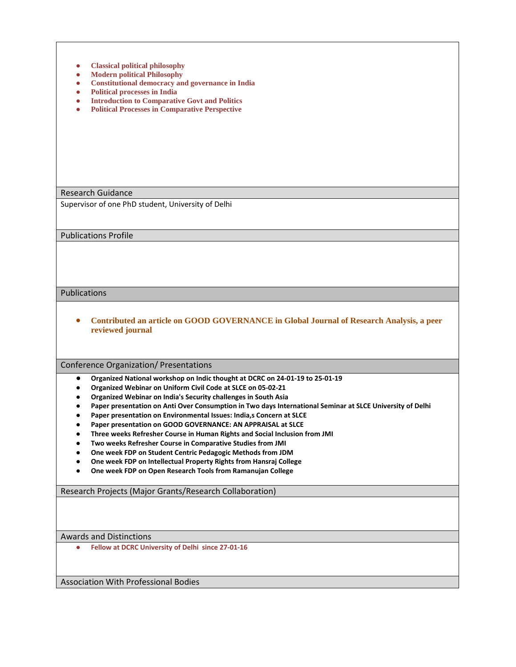| <b>Classical political philosophy</b><br>0<br><b>Modern political Philosophy</b><br>$\bullet$<br><b>Constitutional democracy and governance in India</b><br>$\bullet$<br><b>Political processes in India</b><br>$\bullet$<br><b>Introduction to Comparative Govt and Politics</b><br>$\bullet$<br><b>Political Processes in Comparative Perspective</b><br>$\bullet$                                                                                                                                                                                                                                                                                                                                                                                                                                                       |  |  |  |
|----------------------------------------------------------------------------------------------------------------------------------------------------------------------------------------------------------------------------------------------------------------------------------------------------------------------------------------------------------------------------------------------------------------------------------------------------------------------------------------------------------------------------------------------------------------------------------------------------------------------------------------------------------------------------------------------------------------------------------------------------------------------------------------------------------------------------|--|--|--|
| <b>Research Guidance</b>                                                                                                                                                                                                                                                                                                                                                                                                                                                                                                                                                                                                                                                                                                                                                                                                   |  |  |  |
| Supervisor of one PhD student, University of Delhi                                                                                                                                                                                                                                                                                                                                                                                                                                                                                                                                                                                                                                                                                                                                                                         |  |  |  |
| <b>Publications Profile</b>                                                                                                                                                                                                                                                                                                                                                                                                                                                                                                                                                                                                                                                                                                                                                                                                |  |  |  |
|                                                                                                                                                                                                                                                                                                                                                                                                                                                                                                                                                                                                                                                                                                                                                                                                                            |  |  |  |
| Publications                                                                                                                                                                                                                                                                                                                                                                                                                                                                                                                                                                                                                                                                                                                                                                                                               |  |  |  |
| Contributed an article on GOOD GOVERNANCE in Global Journal of Research Analysis, a peer<br>$\bullet$<br>reviewed journal                                                                                                                                                                                                                                                                                                                                                                                                                                                                                                                                                                                                                                                                                                  |  |  |  |
| Conference Organization/ Presentations                                                                                                                                                                                                                                                                                                                                                                                                                                                                                                                                                                                                                                                                                                                                                                                     |  |  |  |
| Organized National workshop on Indic thought at DCRC on 24-01-19 to 25-01-19<br>$\bullet$<br>Organized Webinar on Uniform Civil Code at SLCE on 05-02-21<br>Organized Webinar on India's Security challenges in South Asia<br>Paper presentation on Anti Over Consumption in Two days International Seminar at SLCE University of Delhi<br>Paper presentation on Environmental Issues: India,s Concern at SLCE<br>Paper presentation on GOOD GOVERNANCE: AN APPRAISAL at SLCE<br>Three weeks Refresher Course in Human Rights and Social Inclusion from JMI<br>Two weeks Refresher Course in Comparative Studies from JMI<br>One week FDP on Student Centric Pedagogic Methods from JDM<br>One week FDP on Intellectual Property Rights from Hansraj College<br>One week FDP on Open Research Tools from Ramanujan College |  |  |  |
| Research Projects (Major Grants/Research Collaboration)                                                                                                                                                                                                                                                                                                                                                                                                                                                                                                                                                                                                                                                                                                                                                                    |  |  |  |
|                                                                                                                                                                                                                                                                                                                                                                                                                                                                                                                                                                                                                                                                                                                                                                                                                            |  |  |  |
|                                                                                                                                                                                                                                                                                                                                                                                                                                                                                                                                                                                                                                                                                                                                                                                                                            |  |  |  |
| <b>Awards and Distinctions</b>                                                                                                                                                                                                                                                                                                                                                                                                                                                                                                                                                                                                                                                                                                                                                                                             |  |  |  |

Association With Professional Bodies